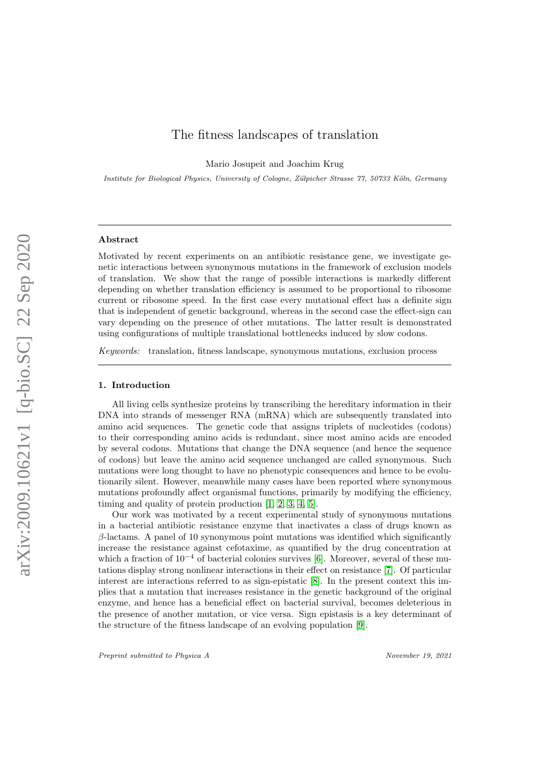# The fitness landscapes of translation

Mario Josupeit and Joachim Krug

Institute for Biological Physics, University of Cologne, Zülpicher Strasse 77, 50733 Köln, Germany

## Abstract

Motivated by recent experiments on an antibiotic resistance gene, we investigate genetic interactions between synonymous mutations in the framework of exclusion models of translation. We show that the range of possible interactions is markedly different depending on whether translation efficiency is assumed to be proportional to ribosome current or ribosome speed. In the first case every mutational effect has a definite sign that is independent of genetic background, whereas in the second case the effect-sign can vary depending on the presence of other mutations. The latter result is demonstrated using configurations of multiple translational bottlenecks induced by slow codons.

Keywords: translation, fitness landscape, synonymous mutations, exclusion process

#### 1. Introduction

All living cells synthesize proteins by transcribing the hereditary information in their DNA into strands of messenger RNA (mRNA) which are subsequently translated into amino acid sequences. The genetic code that assigns triplets of nucleotides (codons) to their corresponding amino acids is redundant, since most amino acids are encoded by several codons. Mutations that change the DNA sequence (and hence the sequence of codons) but leave the amino acid sequence unchanged are called synonymous. Such mutations were long thought to have no phenotypic consequences and hence to be evolutionarily silent. However, meanwhile many cases have been reported where synonymous mutations profoundly affect organismal functions, primarily by modifying the efficiency, timing and quality of protein production [\[1,](#page-8-0) [2,](#page-8-1) [3,](#page-8-2) [4,](#page-8-3) [5\]](#page-8-4).

Our work was motivated by a recent experimental study of synonymous mutations in a bacterial antibiotic resistance enzyme that inactivates a class of drugs known as  $\beta$ -lactams. A panel of 10 synonymous point mutations was identified which significantly increase the resistance against cefotaxime, as quantified by the drug concentration at which a fraction of  $10^{-4}$  of bacterial colonies survives [\[6\]](#page-8-5). Moreover, several of these mutations display strong nonlinear interactions in their effect on resistance [\[7\]](#page-8-6). Of particular interest are interactions referred to as sign-epistatic [\[8\]](#page-8-7). In the present context this implies that a mutation that increases resistance in the genetic background of the original enzyme, and hence has a beneficial effect on bacterial survival, becomes deleterious in the presence of another mutation, or vice versa. Sign epistasis is a key determinant of the structure of the fitness landscape of an evolving population [\[9\]](#page-8-8).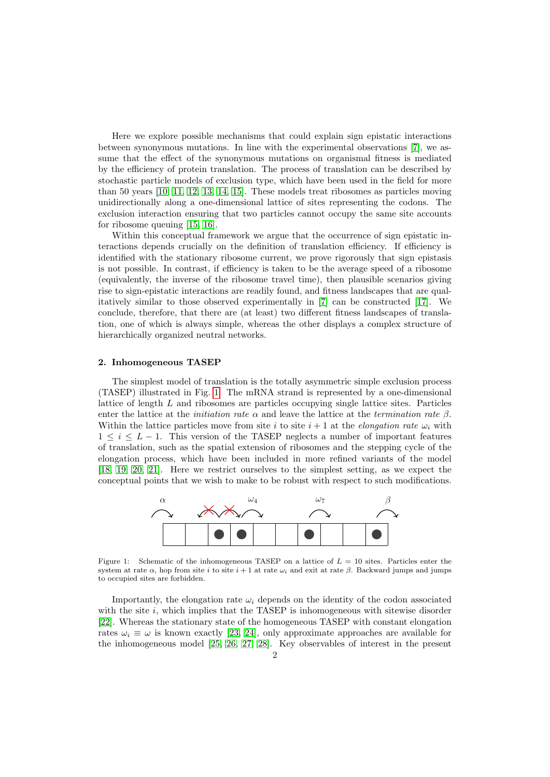Here we explore possible mechanisms that could explain sign epistatic interactions between synonymous mutations. In line with the experimental observations [\[7\]](#page-8-6), we assume that the effect of the synonymous mutations on organismal fitness is mediated by the efficiency of protein translation. The process of translation can be described by stochastic particle models of exclusion type, which have been used in the field for more than 50 years [\[10,](#page-8-9) [11,](#page-8-10) [12,](#page-8-11) [13,](#page-8-12) [14,](#page-8-13) [15\]](#page-8-14). These models treat ribosomes as particles moving unidirectionally along a one-dimensional lattice of sites representing the codons. The exclusion interaction ensuring that two particles cannot occupy the same site accounts for ribosome queuing [\[15,](#page-8-14) [16\]](#page-8-15).

Within this conceptual framework we argue that the occurrence of sign epistatic interactions depends crucially on the definition of translation efficiency. If efficiency is identified with the stationary ribosome current, we prove rigorously that sign epistasis is not possible. In contrast, if efficiency is taken to be the average speed of a ribosome (equivalently, the inverse of the ribosome travel time), then plausible scenarios giving rise to sign-epistatic interactions are readily found, and fitness landscapes that are qualitatively similar to those observed experimentally in [\[7\]](#page-8-6) can be constructed [\[17\]](#page-8-16). We conclude, therefore, that there are (at least) two different fitness landscapes of translation, one of which is always simple, whereas the other displays a complex structure of hierarchically organized neutral networks.

#### 2. Inhomogeneous TASEP

The simplest model of translation is the totally asymmetric simple exclusion process (TASEP) illustrated in Fig. [1.](#page-1-0) The mRNA strand is represented by a one-dimensional lattice of length L and ribosomes are particles occupying single lattice sites. Particles enter the lattice at the *initiation rate*  $\alpha$  and leave the lattice at the *termination rate*  $\beta$ . Within the lattice particles move from site i to site  $i + 1$  at the *elongation rate*  $\omega_i$  with  $1 \leq i \leq L - 1$ . This version of the TASEP neglects a number of important features of translation, such as the spatial extension of ribosomes and the stepping cycle of the elongation process, which have been included in more refined variants of the model [\[18,](#page-8-17) [19,](#page-8-18) [20,](#page-9-0) [21\]](#page-9-1). Here we restrict ourselves to the simplest setting, as we expect the conceptual points that we wish to make to be robust with respect to such modifications.



<span id="page-1-0"></span>Figure 1: Schematic of the inhomogeneous TASEP on a lattice of  $L = 10$  sites. Particles enter the system at rate  $\alpha$ , hop from site i to site i + 1 at rate  $\omega_i$  and exit at rate  $\beta$ . Backward jumps and jumps to occupied sites are forbidden.

Importantly, the elongation rate  $\omega_i$  depends on the identity of the codon associated with the site  $i$ , which implies that the TASEP is inhomogeneous with sitewise disorder [\[22\]](#page-9-2). Whereas the stationary state of the homogeneous TASEP with constant elongation rates  $\omega_i \equiv \omega$  is known exactly [\[23,](#page-9-3) [24\]](#page-9-4), only approximate approaches are available for the inhomogeneous model [\[25,](#page-9-5) [26,](#page-9-6) [27,](#page-9-7) [28\]](#page-9-8). Key observables of interest in the present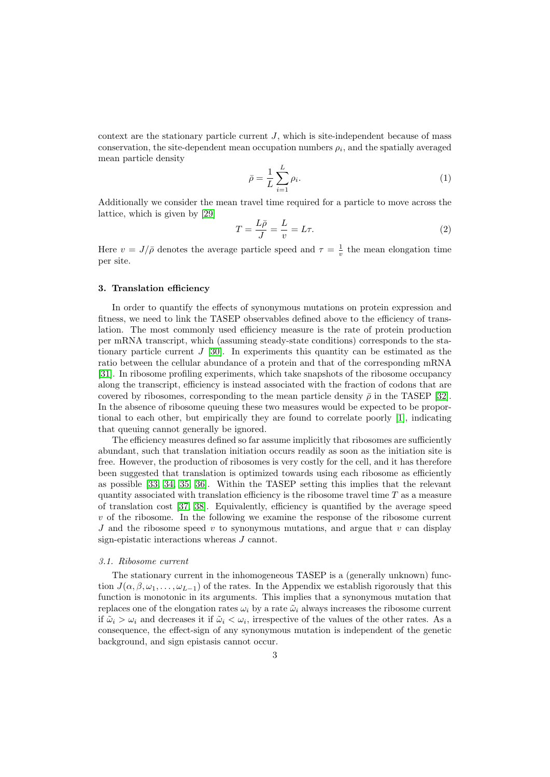context are the stationary particle current  $J$ , which is site-independent because of mass conservation, the site-dependent mean occupation numbers  $\rho_i$ , and the spatially averaged mean particle density

$$
\bar{\rho} = \frac{1}{L} \sum_{i=1}^{L} \rho_i.
$$
\n(1)

Additionally we consider the mean travel time required for a particle to move across the lattice, which is given by [\[29\]](#page-9-9)

<span id="page-2-0"></span>
$$
T = \frac{L\bar{\rho}}{J} = \frac{L}{v} = L\tau.
$$
\n(2)

Here  $v = J/\bar{\rho}$  denotes the average particle speed and  $\tau = \frac{1}{v}$  the mean elongation time per site.

# 3. Translation efficiency

In order to quantify the effects of synonymous mutations on protein expression and fitness, we need to link the TASEP observables defined above to the efficiency of translation. The most commonly used efficiency measure is the rate of protein production per mRNA transcript, which (assuming steady-state conditions) corresponds to the stationary particle current J [\[30\]](#page-9-10). In experiments this quantity can be estimated as the ratio between the cellular abundance of a protein and that of the corresponding mRNA [\[31\]](#page-9-11). In ribosome profiling experiments, which take snapshots of the ribosome occupancy along the transcript, efficiency is instead associated with the fraction of codons that are covered by ribosomes, corresponding to the mean particle density  $\bar{\rho}$  in the TASEP [\[32\]](#page-9-12). In the absence of ribosome queuing these two measures would be expected to be proportional to each other, but empirically they are found to correlate poorly [\[1\]](#page-8-0), indicating that queuing cannot generally be ignored.

The efficiency measures defined so far assume implicitly that ribosomes are sufficiently abundant, such that translation initiation occurs readily as soon as the initiation site is free. However, the production of ribosomes is very costly for the cell, and it has therefore been suggested that translation is optimized towards using each ribosome as efficiently as possible [\[33,](#page-9-13) [34,](#page-9-14) [35,](#page-9-15) [36\]](#page-9-16). Within the TASEP setting this implies that the relevant quantity associated with translation efficiency is the ribosome travel time  $T$  as a measure of translation cost [\[37,](#page-9-17) [38\]](#page-9-18). Equivalently, efficiency is quantified by the average speed v of the ribosome. In the following we examine the response of the ribosome current J and the ribosome speed v to synonymous mutations, and argue that v can display sign-epistatic interactions whereas J cannot.

#### 3.1. Ribosome current

The stationary current in the inhomogeneous TASEP is a (generally unknown) function  $J(\alpha, \beta, \omega_1, \ldots, \omega_{L-1})$  of the rates. In the Appendix we establish rigorously that this function is monotonic in its arguments. This implies that a synonymous mutation that replaces one of the elongation rates  $\omega_i$  by a rate  $\tilde{\omega}_i$  always increases the ribosome current if  $\tilde{\omega}_i > \omega_i$  and decreases it if  $\tilde{\omega}_i < \omega_i$ , irrespective of the values of the other rates. As a consequence, the effect-sign of any synonymous mutation is independent of the genetic background, and sign epistasis cannot occur.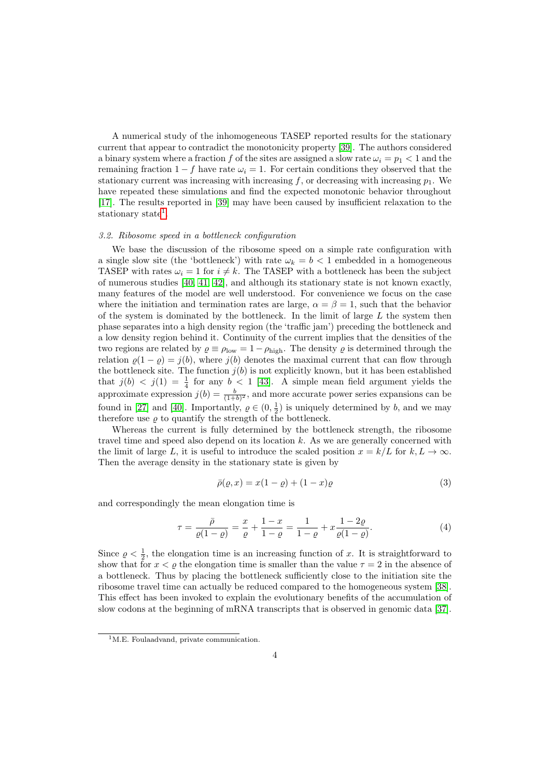A numerical study of the inhomogeneous TASEP reported results for the stationary current that appear to contradict the monotonicity property [\[39\]](#page-9-19). The authors considered a binary system where a fraction f of the sites are assigned a slow rate  $\omega_i = p_1 < 1$  and the remaining fraction  $1 - f$  have rate  $\omega_i = 1$ . For certain conditions they observed that the stationary current was increasing with increasing  $f$ , or decreasing with increasing  $p_1$ . We have repeated these simulations and find the expected monotonic behavior throughout [\[17\]](#page-8-16). The results reported in [\[39\]](#page-9-19) may have been caused by insufficient relaxation to the stationary state<sup>[1](#page-3-0)</sup>.

# 3.2. Ribosome speed in a bottleneck configuration

We base the discussion of the ribosome speed on a simple rate configuration with a single slow site (the 'bottleneck') with rate  $\omega_k = b < 1$  embedded in a homogeneous TASEP with rates  $\omega_i = 1$  for  $i \neq k$ . The TASEP with a bottleneck has been the subject of numerous studies  $[40, 41, 42]$  $[40, 41, 42]$  $[40, 41, 42]$ , and although its stationary state is not known exactly, many features of the model are well understood. For convenience we focus on the case where the initiation and termination rates are large,  $\alpha = \beta = 1$ , such that the behavior of the system is dominated by the bottleneck. In the limit of large  $L$  the system then phase separates into a high density region (the 'traffic jam') preceding the bottleneck and a low density region behind it. Continuity of the current implies that the densities of the two regions are related by  $\rho \equiv \rho_{\text{low}} = 1 - \rho_{\text{high}}$ . The density  $\rho$  is determined through the relation  $\rho(1 - \rho) = j(b)$ , where  $j(b)$  denotes the maximal current that can flow through the bottleneck site. The function  $j(b)$  is not explicitly known, but it has been established that  $j(b) < j(1) = \frac{1}{4}$  for any  $b < 1$  [\[43\]](#page-9-23). A simple mean field argument yields the approximate expression  $j(b) = \frac{b}{(1+b)^2}$ , and more accurate power series expansions can be found in [\[27\]](#page-9-7) and [\[40\]](#page-9-20). Importantly,  $\rho \in (0, \frac{1}{2})$  is uniquely determined by b, and we may therefore use  $\varrho$  to quantify the strength of the bottleneck.

Whereas the current is fully determined by the bottleneck strength, the ribosome travel time and speed also depend on its location k. As we are generally concerned with the limit of large L, it is useful to introduce the scaled position  $x = k/L$  for  $k, L \to \infty$ . Then the average density in the stationary state is given by

$$
\bar{\rho}(\varrho, x) = x(1 - \varrho) + (1 - x)\varrho \tag{3}
$$

and correspondingly the mean elongation time is

<span id="page-3-1"></span>
$$
\tau = \frac{\bar{\rho}}{\varrho(1-\varrho)} = \frac{x}{\varrho} + \frac{1-x}{1-\varrho} = \frac{1}{1-\varrho} + x\frac{1-2\varrho}{\varrho(1-\varrho)}.
$$
(4)

Since  $\rho < \frac{1}{2}$ , the elongation time is an increasing function of x. It is straightforward to show that for  $x < \varrho$  the elongation time is smaller than the value  $\tau = 2$  in the absence of a bottleneck. Thus by placing the bottleneck sufficiently close to the initiation site the ribosome travel time can actually be reduced compared to the homogeneous system [\[38\]](#page-9-18). This effect has been invoked to explain the evolutionary benefits of the accumulation of slow codons at the beginning of mRNA transcripts that is observed in genomic data [\[37\]](#page-9-17).

<span id="page-3-0"></span><sup>&</sup>lt;sup>1</sup>M.E. Foulaadvand, private communication.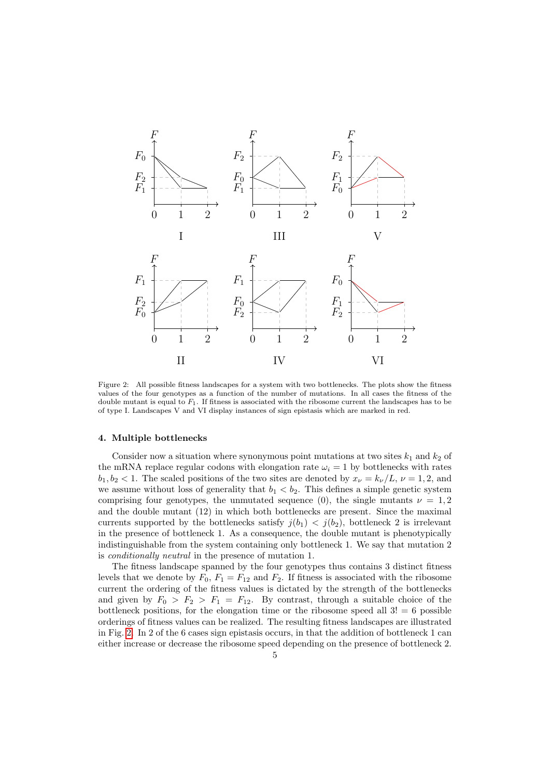

<span id="page-4-0"></span>Figure 2: All possible fitness landscapes for a system with two bottlenecks. The plots show the fitness values of the four genotypes as a function of the number of mutations. In all cases the fitness of the double mutant is equal to  $F_1$ . If fitness is associated with the ribosome current the landscapes has to be of type I. Landscapes V and VI display instances of sign epistasis which are marked in red.

### 4. Multiple bottlenecks

Consider now a situation where synonymous point mutations at two sites  $k_1$  and  $k_2$  of the mRNA replace regular codons with elongation rate  $\omega_i = 1$  by bottlenecks with rates  $b_1, b_2 < 1$ . The scaled positions of the two sites are denoted by  $x_{\nu} = k_{\nu}/L$ ,  $\nu = 1, 2$ , and we assume without loss of generality that  $b_1 < b_2$ . This defines a simple genetic system comprising four genotypes, the unmutated sequence (0), the single mutants  $\nu = 1, 2$ and the double mutant (12) in which both bottlenecks are present. Since the maximal currents supported by the bottlenecks satisfy  $j(b_1) < j(b_2)$ , bottleneck 2 is irrelevant in the presence of bottleneck 1. As a consequence, the double mutant is phenotypically indistinguishable from the system containing only bottleneck 1. We say that mutation 2 is conditionally neutral in the presence of mutation 1.

The fitness landscape spanned by the four genotypes thus contains 3 distinct fitness levels that we denote by  $F_0$ ,  $F_1 = F_{12}$  and  $F_2$ . If fitness is associated with the ribosome current the ordering of the fitness values is dictated by the strength of the bottlenecks and given by  $F_0 > F_2 > F_1 = F_{12}$ . By contrast, through a suitable choice of the bottleneck positions, for the elongation time or the ribosome speed all  $3! = 6$  possible orderings of fitness values can be realized. The resulting fitness landscapes are illustrated in Fig. [2.](#page-4-0) In 2 of the 6 cases sign epistasis occurs, in that the addition of bottleneck 1 can either increase or decrease the ribosome speed depending on the presence of bottleneck 2.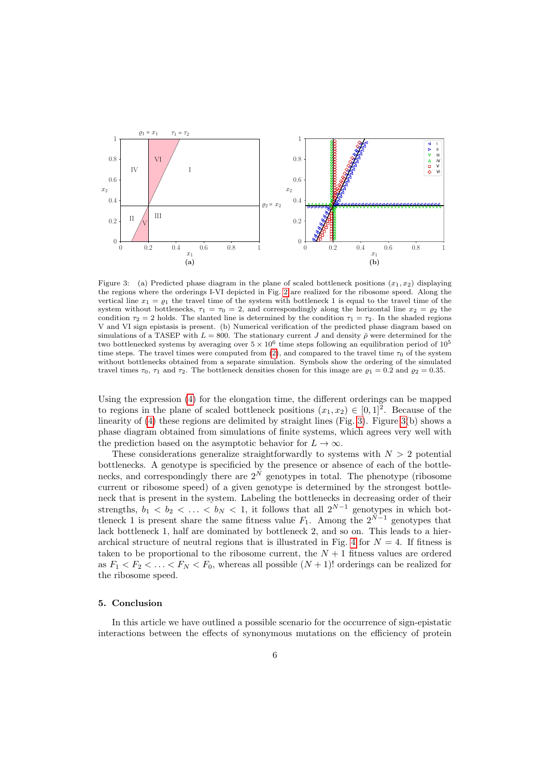

<span id="page-5-0"></span>Figure 3: (a) Predicted phase diagram in the plane of scaled bottleneck positions  $(x_1, x_2)$  displaying the regions where the orderings I-VI depicted in Fig. [2](#page-4-0) are realized for the ribosome speed. Along the vertical line  $x_1 = \rho_1$  the travel time of the system with bottleneck 1 is equal to the travel time of the system without bottlenecks,  $\tau_1 = \tau_0 = 2$ , and correspondingly along the horizontal line  $x_2 = \varrho_2$  the condition  $\tau_2 = 2$  holds. The slanted line is determined by the condition  $\tau_1 = \tau_2$ . In the shaded regions V and VI sign epistasis is present. (b) Numerical verification of the predicted phase diagram based on simulations of a TASEP with  $L = 800$ . The stationary current J and density  $\bar{\rho}$  were determined for the two bottlenecked systems by averaging over  $5 \times 10^6$  time steps following an equilibration period of  $10^5$ time steps. The travel times were computed from [\(2\)](#page-2-0), and compared to the travel time  $\tau_0$  of the system without bottlenecks obtained from a separate simulation. Symbols show the ordering of the simulated travel times  $\tau_0$ ,  $\tau_1$  and  $\tau_2$ . The bottleneck densities chosen for this image are  $\rho_1 = 0.2$  and  $\rho_2 = 0.35$ .

Using the expression [\(4\)](#page-3-1) for the elongation time, the different orderings can be mapped to regions in the plane of scaled bottleneck positions  $(x_1, x_2) \in [0, 1]^2$ . Because of the linearity of [\(4\)](#page-3-1) these regions are delimited by straight lines (Fig. [3\)](#page-5-0). Figure [3\(](#page-5-0)b) shows a phase diagram obtained from simulations of finite systems, which agrees very well with the prediction based on the asymptotic behavior for  $L \to \infty$ .

These considerations generalize straightforwardly to systems with  $N > 2$  potential bottlenecks. A genotype is specificied by the presence or absence of each of the bottlenecks, and correspondingly there are  $2^N$  genotypes in total. The phenotype (ribosome current or ribosome speed) of a given genotype is determined by the strongest bottleneck that is present in the system. Labeling the bottlenecks in decreasing order of their strengths,  $b_1 < b_2 < \ldots < b_N < 1$ , it follows that all  $2^{N-1}$  genotypes in which bottleneck 1 is present share the same fitness value  $F_1$ . Among the  $2^{\tilde{N}-1}$  genotypes that lack bottleneck 1, half are dominated by bottleneck 2, and so on. This leads to a hier-archical structure of neutral regions that is illustrated in Fig. [4](#page-6-0) for  $N = 4$ . If fitness is taken to be proportional to the ribosome current, the  $N+1$  fitness values are ordered as  $F_1 < F_2 < \ldots < F_N < F_0$ , whereas all possible  $(N + 1)!$  orderings can be realized for the ribosome speed.

# 5. Conclusion

In this article we have outlined a possible scenario for the occurrence of sign-epistatic interactions between the effects of synonymous mutations on the efficiency of protein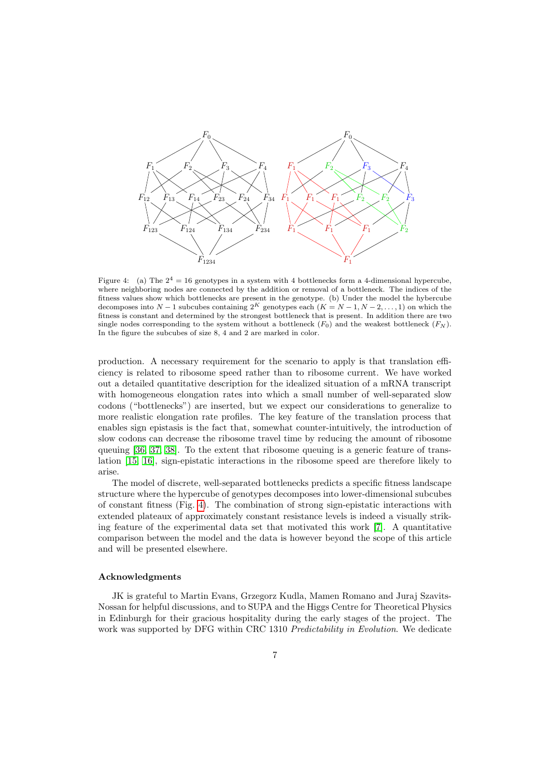

<span id="page-6-0"></span>Figure 4: (a) The  $2^4 = 16$  genotypes in a system with 4 bottlenecks form a 4-dimensional hypercube, where neighboring nodes are connected by the addition or removal of a bottleneck. The indices of the fitness values show which bottlenecks are present in the genotype. (b) Under the model the hybercube decomposes into N − 1 subcubes containing  $2^K$  genotypes each  $(K = N - 1, N - 2, \ldots, 1)$  on which the fitness is constant and determined by the strongest bottleneck that is present. In addition there are two single nodes corresponding to the system without a bottleneck  $(F_0)$  and the weakest bottleneck  $(F_N)$ . In the figure the subcubes of size 8, 4 and 2 are marked in color.

production. A necessary requirement for the scenario to apply is that translation efficiency is related to ribosome speed rather than to ribosome current. We have worked out a detailed quantitative description for the idealized situation of a mRNA transcript with homogeneous elongation rates into which a small number of well-separated slow codons ("bottlenecks") are inserted, but we expect our considerations to generalize to more realistic elongation rate profiles. The key feature of the translation process that enables sign epistasis is the fact that, somewhat counter-intuitively, the introduction of slow codons can decrease the ribosome travel time by reducing the amount of ribosome queuing [\[36,](#page-9-16) [37,](#page-9-17) [38\]](#page-9-18). To the extent that ribosome queuing is a generic feature of translation [\[15,](#page-8-14) [16\]](#page-8-15), sign-epistatic interactions in the ribosome speed are therefore likely to arise.

The model of discrete, well-separated bottlenecks predicts a specific fitness landscape structure where the hypercube of genotypes decomposes into lower-dimensional subcubes of constant fitness (Fig. [4\)](#page-6-0). The combination of strong sign-epistatic interactions with extended plateaux of approximately constant resistance levels is indeed a visually striking feature of the experimental data set that motivated this work [\[7\]](#page-8-6). A quantitative comparison between the model and the data is however beyond the scope of this article and will be presented elsewhere.

#### Acknowledgments

JK is grateful to Martin Evans, Grzegorz Kudla, Mamen Romano and Juraj Szavits-Nossan for helpful discussions, and to SUPA and the Higgs Centre for Theoretical Physics in Edinburgh for their gracious hospitality during the early stages of the project. The work was supported by DFG within CRC 1310 *Predictability in Evolution*. We dedicate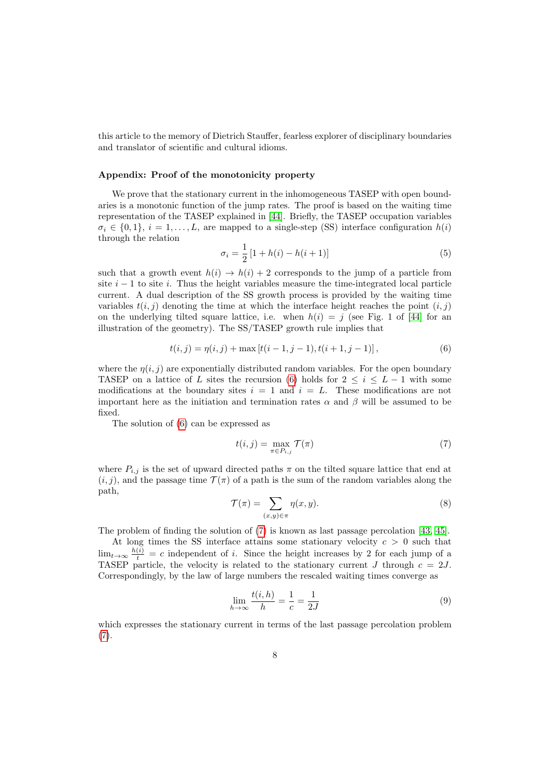this article to the memory of Dietrich Stauffer, fearless explorer of disciplinary boundaries and translator of scientific and cultural idioms.

# Appendix: Proof of the monotonicity property

We prove that the stationary current in the inhomogeneous TASEP with open boundaries is a monotonic function of the jump rates. The proof is based on the waiting time representation of the TASEP explained in [\[44\]](#page-9-24). Briefly, the TASEP occupation variables  $\sigma_i \in \{0,1\}, i = 1,\ldots,L$ , are mapped to a single-step (SS) interface configuration  $h(i)$ through the relation

$$
\sigma_i = \frac{1}{2} \left[ 1 + h(i) - h(i+1) \right] \tag{5}
$$

such that a growth event  $h(i) \to h(i) + 2$  corresponds to the jump of a particle from site  $i - 1$  to site i. Thus the height variables measure the time-integrated local particle current. A dual description of the SS growth process is provided by the waiting time variables  $t(i, j)$  denoting the time at which the interface height reaches the point  $(i, j)$ on the underlying tilted square lattice, i.e. when  $h(i) = j$  (see Fig. 1 of [\[44\]](#page-9-24) for an illustration of the geometry). The SS/TASEP growth rule implies that

<span id="page-7-0"></span>
$$
t(i, j) = \eta(i, j) + \max[t(i - 1, j - 1), t(i + 1, j - 1)],
$$
\n(6)

where the  $\eta(i, j)$  are exponentially distributed random variables. For the open boundary TASEP on a lattice of L sites the recursion [\(6\)](#page-7-0) holds for  $2 \leq i \leq L-1$  with some modifications at the boundary sites  $i = 1$  and  $i = L$ . These modifications are not important here as the initiation and termination rates  $\alpha$  and  $\beta$  will be assumed to be fixed.

The solution of [\(6\)](#page-7-0) can be expressed as

<span id="page-7-1"></span>
$$
t(i,j) = \max_{\pi \in P_{i,j}} \mathcal{T}(\pi) \tag{7}
$$

where  $P_{i,j}$  is the set of upward directed paths  $\pi$  on the tilted square lattice that end at  $(i, j)$ , and the passage time  $\mathcal{T}(\pi)$  of a path is the sum of the random variables along the path,

<span id="page-7-2"></span>
$$
\mathcal{T}(\pi) = \sum_{(x,y)\in\pi} \eta(x,y). \tag{8}
$$

The problem of finding the solution of [\(7\)](#page-7-1) is known as last passage percolation [\[43,](#page-9-23) [45\]](#page-9-25).

At long times the SS interface attains some stationary velocity  $c > 0$  such that  $\lim_{t\to\infty}\frac{h(i)}{t} = c$  independent of i. Since the height increases by 2 for each jump of a TASEP particle, the velocity is related to the stationary current J through  $c = 2J$ . Correspondingly, by the law of large numbers the rescaled waiting times converge as

<span id="page-7-3"></span>
$$
\lim_{h \to \infty} \frac{t(i, h)}{h} = \frac{1}{c} = \frac{1}{2J} \tag{9}
$$

which expresses the stationary current in terms of the last passage percolation problem  $(7).$  $(7).$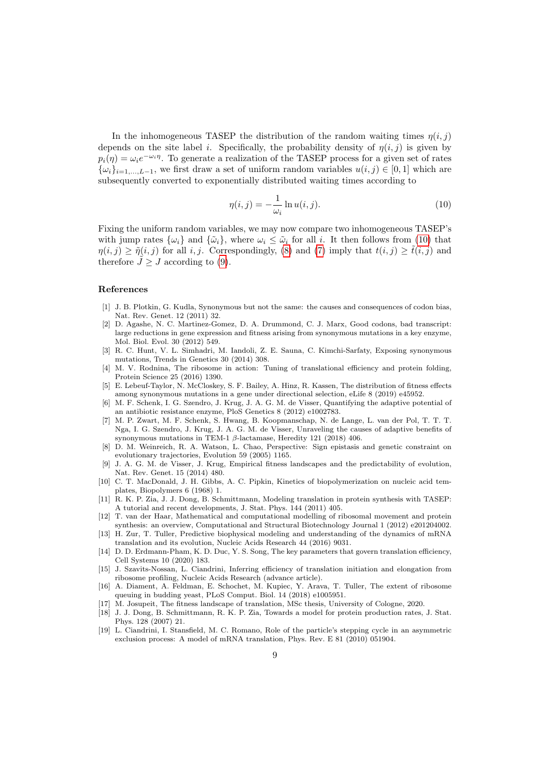In the inhomogeneous TASEP the distribution of the random waiting times  $\eta(i, j)$ depends on the site label i. Specifically, the probability density of  $\eta(i, j)$  is given by  $p_i(\eta) = \omega_i e^{-\omega_i \eta}$ . To generate a realization of the TASEP process for a given set of rates  $\{\omega_i\}_{i=1,\ldots,L-1}$ , we first draw a set of uniform random variables  $u(i, j) \in [0, 1]$  which are subsequently converted to exponentially distributed waiting times according to

<span id="page-8-19"></span>
$$
\eta(i,j) = -\frac{1}{\omega_i} \ln u(i,j). \tag{10}
$$

Fixing the uniform random variables, we may now compare two inhomogeneous TASEP's with jump rates  $\{\omega_i\}$  and  $\{\tilde{\omega}_i\}$ , where  $\omega_i \leq \tilde{\omega}_i$  for all i. It then follows from [\(10\)](#page-8-19) that  $\eta(i, j) \geq \tilde{\eta}(i, j)$  for all i, j. Correspondingly, [\(8\)](#page-7-2) and [\(7\)](#page-7-1) imply that  $t(i, j) \geq \tilde{t}(i, j)$  and therefore  $\tilde{J} \geq J$  according to [\(9\)](#page-7-3).

# References

- <span id="page-8-0"></span>[1] J. B. Plotkin, G. Kudla, Synonymous but not the same: the causes and consequences of codon bias, Nat. Rev. Genet. 12 (2011) 32.
- <span id="page-8-1"></span>[2] D. Agashe, N. C. Martinez-Gomez, D. A. Drummond, C. J. Marx, Good codons, bad transcript: large reductions in gene expression and fitness arising from synonymous mutations in a key enzyme, Mol. Biol. Evol. 30 (2012) 549.
- <span id="page-8-2"></span>[3] R. C. Hunt, V. L. Simhadri, M. Iandoli, Z. E. Sauna, C. Kimchi-Sarfaty, Exposing synonymous mutations, Trends in Genetics 30 (2014) 308.
- <span id="page-8-3"></span>[4] M. V. Rodnina, The ribosome in action: Tuning of translational efficiency and protein folding, Protein Science 25 (2016) 1390.
- <span id="page-8-4"></span>[5] E. Lebeuf-Taylor, N. McCloskey, S. F. Bailey, A. Hinz, R. Kassen, The distribution of fitness effects among synonymous mutations in a gene under directional selection, eLife 8 (2019) e45952.
- <span id="page-8-5"></span>[6] M. F. Schenk, I. G. Szendro, J. Krug, J. A. G. M. de Visser, Quantifying the adaptive potential of an antibiotic resistance enzyme, PloS Genetics 8 (2012) e1002783.
- <span id="page-8-6"></span>[7] M. P. Zwart, M. F. Schenk, S. Hwang, B. Koopmanschap, N. de Lange, L. van der Pol, T. T. T. Nga, I. G. Szendro, J. Krug, J. A. G. M. de Visser, Unraveling the causes of adaptive benefits of synonymous mutations in TEM-1 β-lactamase, Heredity 121 (2018) 406.
- <span id="page-8-7"></span>[8] D. M. Weinreich, R. A. Watson, L. Chao, Perspective: Sign epistasis and genetic constraint on evolutionary trajectories, Evolution 59 (2005) 1165.
- <span id="page-8-8"></span>[9] J. A. G. M. de Visser, J. Krug, Empirical fitness landscapes and the predictability of evolution, Nat. Rev. Genet. 15 (2014) 480.
- <span id="page-8-9"></span>[10] C. T. MacDonald, J. H. Gibbs, A. C. Pipkin, Kinetics of biopolymerization on nucleic acid templates, Biopolymers 6 (1968) 1.
- <span id="page-8-10"></span>[11] R. K. P. Zia, J. J. Dong, B. Schmittmann, Modeling translation in protein synthesis with TASEP: A tutorial and recent developments, J. Stat. Phys. 144 (2011) 405.
- <span id="page-8-11"></span>[12] T. van der Haar, Mathematical and computational modelling of ribosomal movement and protein synthesis: an overview, Computational and Structural Biotechnology Journal 1 (2012) e201204002.
- <span id="page-8-12"></span>[13] H. Zur, T. Tuller, Predictive biophysical modeling and understanding of the dynamics of mRNA translation and its evolution, Nucleic Acids Research 44 (2016) 9031.
- <span id="page-8-13"></span>[14] D. D. Erdmann-Pham, K. D. Duc, Y. S. Song, The key parameters that govern translation efficiency, Cell Systems 10 (2020) 183.
- <span id="page-8-14"></span>[15] J. Szavits-Nossan, L. Ciandrini, Inferring efficiency of translation initiation and elongation from ribosome profiling, Nucleic Acids Research (advance article).
- <span id="page-8-15"></span>[16] A. Diament, A. Feldman, E. Schochet, M. Kupiec, Y. Arava, T. Tuller, The extent of ribosome queuing in budding yeast, PLoS Comput. Biol. 14 (2018) e1005951.
- <span id="page-8-16"></span>[17] M. Josupeit, The fitness landscape of translation, MSc thesis, University of Cologne, 2020.
- <span id="page-8-17"></span>[18] J. J. Dong, B. Schmittmann, R. K. P. Zia, Towards a model for protein production rates, J. Stat. Phys. 128 (2007) 21.
- <span id="page-8-18"></span>[19] L. Ciandrini, I. Stansfield, M. C. Romano, Role of the particle's stepping cycle in an asymmetric exclusion process: A model of mRNA translation, Phys. Rev. E 81 (2010) 051904.